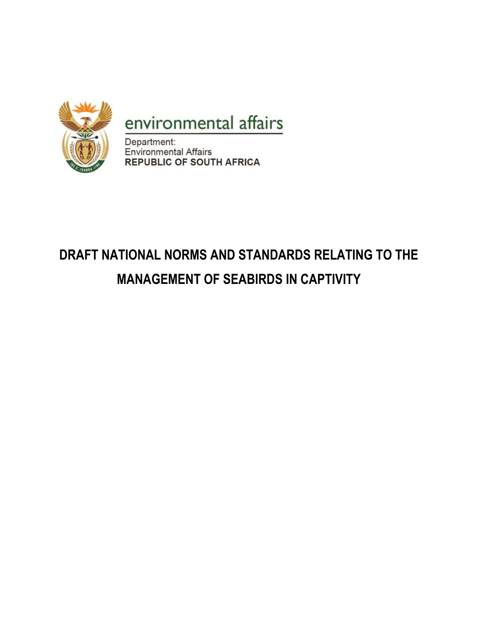

## environmental affairs

Department: Environmental Affairs **REPUBLIC OF SOUTH AFRICA** 

# **DRAFT NATIONAL NORMS AND STANDARDS RELATING TO THE MANAGEMENT OF SEABIRDS IN CAPTIVITY**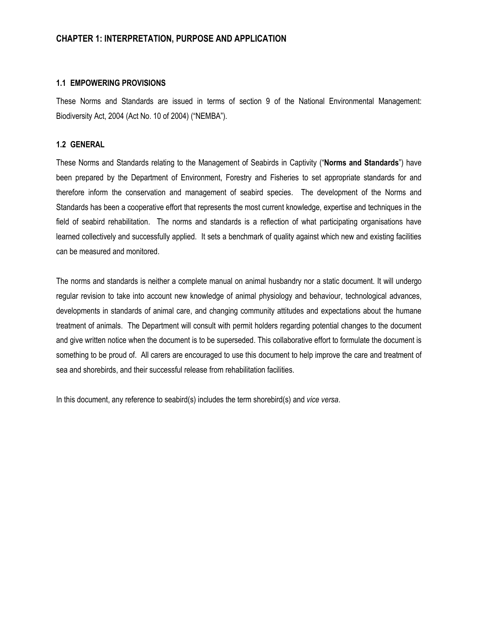#### **CHAPTER 1: INTERPRETATION, PURPOSE AND APPLICATION**

#### **1.1 EMPOWERING PROVISIONS**

These Norms and Standards are issued in terms of section 9 of the National Environmental Management: Biodiversity Act, 2004 (Act No. 10 of 2004) ("NEMBA").

#### **1.2 GENERAL**

These Norms and Standards relating to the Management of Seabirds in Captivity ("**Norms and Standards**") have been prepared by the Department of Environment, Forestry and Fisheries to set appropriate standards for and therefore inform the conservation and management of seabird species. The development of the Norms and Standards has been a cooperative effort that represents the most current knowledge, expertise and techniques in the field of seabird rehabilitation. The norms and standards is a reflection of what participating organisations have learned collectively and successfully applied. It sets a benchmark of quality against which new and existing facilities can be measured and monitored.

The norms and standards is neither a complete manual on animal husbandry nor a static document. It will undergo regular revision to take into account new knowledge of animal physiology and behaviour, technological advances, developments in standards of animal care, and changing community attitudes and expectations about the humane treatment of animals. The Department will consult with permit holders regarding potential changes to the document and give written notice when the document is to be superseded. This collaborative effort to formulate the document is something to be proud of. All carers are encouraged to use this document to help improve the care and treatment of sea and shorebirds, and their successful release from rehabilitation facilities.

In this document, any reference to seabird(s) includes the term shorebird(s) and *vice versa*.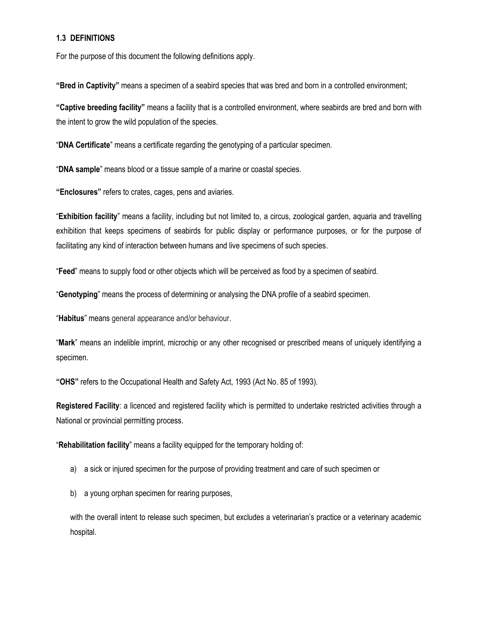#### **1.3 DEFINITIONS**

For the purpose of this document the following definitions apply.

**"Bred in Captivity"** means a specimen of a seabird species that was bred and born in a controlled environment;

**"Captive breeding facility"** means a facility that is a controlled environment, where seabirds are bred and born with the intent to grow the wild population of the species.

"**DNA Certificate**" means a certificate regarding the genotyping of a particular specimen.

"**DNA sample**" means blood or a tissue sample of a marine or coastal species.

**"Enclosures"** refers to crates, cages, pens and aviaries.

"**Exhibition facility**" means a facility, including but not limited to, a circus, zoological garden, aquaria and travelling exhibition that keeps specimens of seabirds for public display or performance purposes, or for the purpose of facilitating any kind of interaction between humans and live specimens of such species.

"**Feed**" means to supply food or other objects which will be perceived as food by a specimen of seabird.

"**Genotyping**" means the process of determining or analysing the DNA profile of a seabird specimen.

"**Habitus**" means general appearance and/or behaviour.

"**Mark**" means an indelible imprint, microchip or any other recognised or prescribed means of uniquely identifying a specimen.

**"OHS"** refers to the Occupational Health and Safety Act, 1993 (Act No. 85 of 1993).

**Registered Facility**: a licenced and registered facility which is permitted to undertake restricted activities through a National or provincial permitting process.

"**Rehabilitation facility**" means a facility equipped for the temporary holding of:

- a) a sick or injured specimen for the purpose of providing treatment and care of such specimen or
- b) a young orphan specimen for rearing purposes,

with the overall intent to release such specimen, but excludes a veterinarian's practice or a veterinary academic hospital.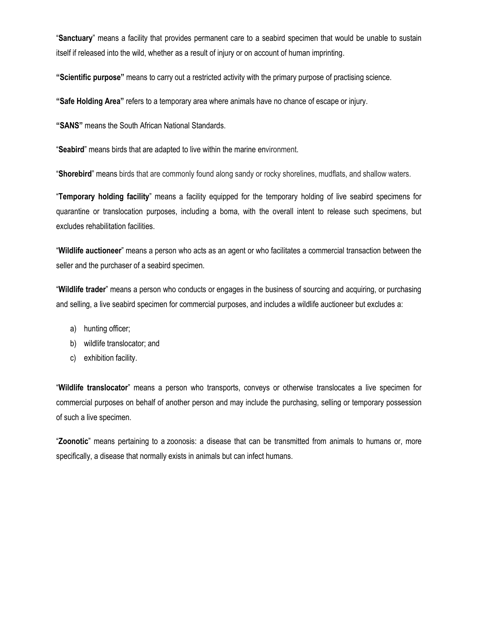"**Sanctuary**" means a facility that provides permanent care to a seabird specimen that would be unable to sustain itself if released into the wild, whether as a result of injury or on account of human imprinting.

**"Scientific purpose"** means to carry out a restricted activity with the primary purpose of practising science.

**"Safe Holding Area"** refers to a temporary area where animals have no chance of escape or injury.

**"SANS"** means the South African National Standards.

"**Seabird**" means birds that are adapted to live within the marine environment.

"**Shorebird**" means birds that are commonly found along sandy or rocky shorelines, mudflats, and shallow waters.

"**Temporary holding facility**" means a facility equipped for the temporary holding of live seabird specimens for quarantine or translocation purposes, including a boma, with the overall intent to release such specimens, but excludes rehabilitation facilities.

"**Wildlife auctioneer**" means a person who acts as an agent or who facilitates a commercial transaction between the seller and the purchaser of a seabird specimen.

"**Wildlife trader**" means a person who conducts or engages in the business of sourcing and acquiring, or purchasing and selling, a live seabird specimen for commercial purposes, and includes a wildlife auctioneer but excludes a:

- a) hunting officer;
- b) wildlife translocator; and
- c) exhibition facility.

"**Wildlife translocator**" means a person who transports, conveys or otherwise translocates a live specimen for commercial purposes on behalf of another person and may include the purchasing, selling or temporary possession of such a live specimen.

"**Zoonotic**" means pertaining to a zoonosis: a disease that can be transmitted from animals to humans or, more specifically, a disease that normally exists in animals but can infect humans.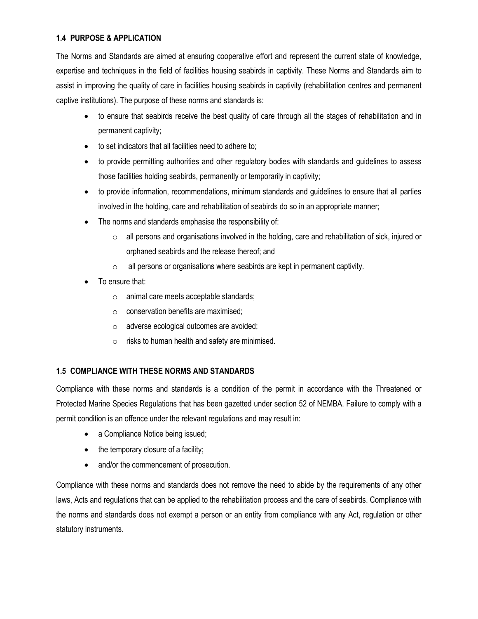## **1.4 PURPOSE & APPLICATION**

The Norms and Standards are aimed at ensuring cooperative effort and represent the current state of knowledge, expertise and techniques in the field of facilities housing seabirds in captivity. These Norms and Standards aim to assist in improving the quality of care in facilities housing seabirds in captivity (rehabilitation centres and permanent captive institutions). The purpose of these norms and standards is:

- to ensure that seabirds receive the best quality of care through all the stages of rehabilitation and in permanent captivity;
- to set indicators that all facilities need to adhere to;
- to provide permitting authorities and other regulatory bodies with standards and guidelines to assess those facilities holding seabirds, permanently or temporarily in captivity;
- to provide information, recommendations, minimum standards and guidelines to ensure that all parties involved in the holding, care and rehabilitation of seabirds do so in an appropriate manner;
- The norms and standards emphasise the responsibility of:
	- o all persons and organisations involved in the holding, care and rehabilitation of sick, injured or orphaned seabirds and the release thereof; and
	- o all persons or organisations where seabirds are kept in permanent captivity.
- To ensure that:
	- o animal care meets acceptable standards;
	- $\circ$  conservation benefits are maximised:
	- o adverse ecological outcomes are avoided;
	- $\circ$  risks to human health and safety are minimised.

#### **1.5 COMPLIANCE WITH THESE NORMS AND STANDARDS**

Compliance with these norms and standards is a condition of the permit in accordance with the Threatened or Protected Marine Species Regulations that has been gazetted under section 52 of NEMBA. Failure to comply with a permit condition is an offence under the relevant regulations and may result in:

- a Compliance Notice being issued;
- the temporary closure of a facility;
- and/or the commencement of prosecution.

Compliance with these norms and standards does not remove the need to abide by the requirements of any other laws, Acts and regulations that can be applied to the rehabilitation process and the care of seabirds. Compliance with the norms and standards does not exempt a person or an entity from compliance with any Act, regulation or other statutory instruments.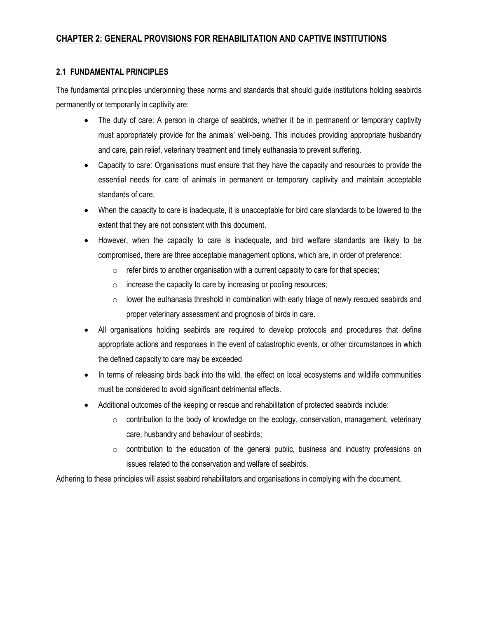## **CHAPTER 2: GENERAL PROVISIONS FOR REHABILITATION AND CAPTIVE INSTITUTIONS**

#### **2.1 FUNDAMENTAL PRINCIPLES**

The fundamental principles underpinning these norms and standards that should guide institutions holding seabirds permanently or temporarily in captivity are:

- The duty of care: A person in charge of seabirds, whether it be in permanent or temporary captivity must appropriately provide for the animals' well-being. This includes providing appropriate husbandry and care, pain relief, veterinary treatment and timely euthanasia to prevent suffering.
- Capacity to care: Organisations must ensure that they have the capacity and resources to provide the essential needs for care of animals in permanent or temporary captivity and maintain acceptable standards of care.
- When the capacity to care is inadequate, it is unacceptable for bird care standards to be lowered to the extent that they are not consistent with this document.
- However, when the capacity to care is inadequate, and bird welfare standards are likely to be compromised, there are three acceptable management options, which are, in order of preference:
	- $\circ$  refer birds to another organisation with a current capacity to care for that species;
	- $\circ$  increase the capacity to care by increasing or pooling resources;
	- $\circ$  lower the euthanasia threshold in combination with early triage of newly rescued seabirds and proper veterinary assessment and prognosis of birds in care.
- All organisations holding seabirds are required to develop protocols and procedures that define appropriate actions and responses in the event of catastrophic events, or other circumstances in which the defined capacity to care may be exceeded
- In terms of releasing birds back into the wild, the effect on local ecosystems and wildlife communities must be considered to avoid significant detrimental effects.
- Additional outcomes of the keeping or rescue and rehabilitation of protected seabirds include:
	- $\circ$  contribution to the body of knowledge on the ecology, conservation, management, veterinary care, husbandry and behaviour of seabirds;
	- $\circ$  contribution to the education of the general public, business and industry professions on issues related to the conservation and welfare of seabirds.

Adhering to these principles will assist seabird rehabilitators and organisations in complying with the document.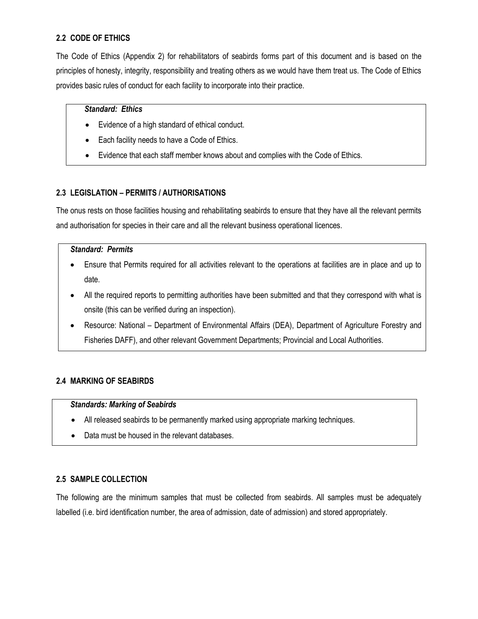## **2.2 CODE OF ETHICS**

The Code of Ethics (Appendix 2) for rehabilitators of seabirds forms part of this document and is based on the principles of honesty, integrity, responsibility and treating others as we would have them treat us. The Code of Ethics provides basic rules of conduct for each facility to incorporate into their practice.

#### *Standard: Ethics*

- Evidence of a high standard of ethical conduct.
- Each facility needs to have a Code of Ethics.
- Evidence that each staff member knows about and complies with the Code of Ethics.

## **2.3 LEGISLATION – PERMITS / AUTHORISATIONS**

The onus rests on those facilities housing and rehabilitating seabirds to ensure that they have all the relevant permits and authorisation for species in their care and all the relevant business operational licences.

#### *Standard: Permits*

- Ensure that Permits required for all activities relevant to the operations at facilities are in place and up to date.
- All the required reports to permitting authorities have been submitted and that they correspond with what is onsite (this can be verified during an inspection).
- Resource: National Department of Environmental Affairs (DEA), Department of Agriculture Forestry and Fisheries DAFF), and other relevant Government Departments; Provincial and Local Authorities.

## **2.4 MARKING OF SEABIRDS**

#### *Standards: Marking of Seabirds*

- All released seabirds to be permanently marked using appropriate marking techniques.
- Data must be housed in the relevant databases.

#### **2.5 SAMPLE COLLECTION**

The following are the minimum samples that must be collected from seabirds. All samples must be adequately labelled (i.e. bird identification number, the area of admission, date of admission) and stored appropriately.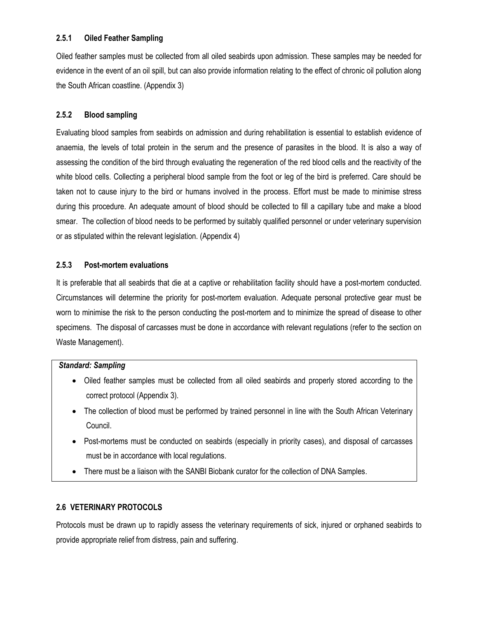## **2.5.1 Oiled Feather Sampling**

Oiled feather samples must be collected from all oiled seabirds upon admission. These samples may be needed for evidence in the event of an oil spill, but can also provide information relating to the effect of chronic oil pollution along the South African coastline. (Appendix 3)

## **2.5.2 Blood sampling**

Evaluating blood samples from seabirds on admission and during rehabilitation is essential to establish evidence of anaemia, the levels of total protein in the serum and the presence of parasites in the blood. It is also a way of assessing the condition of the bird through evaluating the regeneration of the red blood cells and the reactivity of the white blood cells. Collecting a peripheral blood sample from the foot or leg of the bird is preferred. Care should be taken not to cause injury to the bird or humans involved in the process. Effort must be made to minimise stress during this procedure. An adequate amount of blood should be collected to fill a capillary tube and make a blood smear. The collection of blood needs to be performed by suitably qualified personnel or under veterinary supervision or as stipulated within the relevant legislation. (Appendix 4)

#### **2.5.3 Post-mortem evaluations**

It is preferable that all seabirds that die at a captive or rehabilitation facility should have a post-mortem conducted. Circumstances will determine the priority for post-mortem evaluation. Adequate personal protective gear must be worn to minimise the risk to the person conducting the post-mortem and to minimize the spread of disease to other specimens. The disposal of carcasses must be done in accordance with relevant regulations (refer to the section on Waste Management).

#### *Standard: Sampling*

- Oiled feather samples must be collected from all oiled seabirds and properly stored according to the correct protocol (Appendix 3).
- The collection of blood must be performed by trained personnel in line with the South African Veterinary Council.
- Post-mortems must be conducted on seabirds (especially in priority cases), and disposal of carcasses must be in accordance with local regulations.
- There must be a liaison with the SANBI Biobank curator for the collection of DNA Samples.

## **2.6 VETERINARY PROTOCOLS**

Protocols must be drawn up to rapidly assess the veterinary requirements of sick, injured or orphaned seabirds to provide appropriate relief from distress, pain and suffering.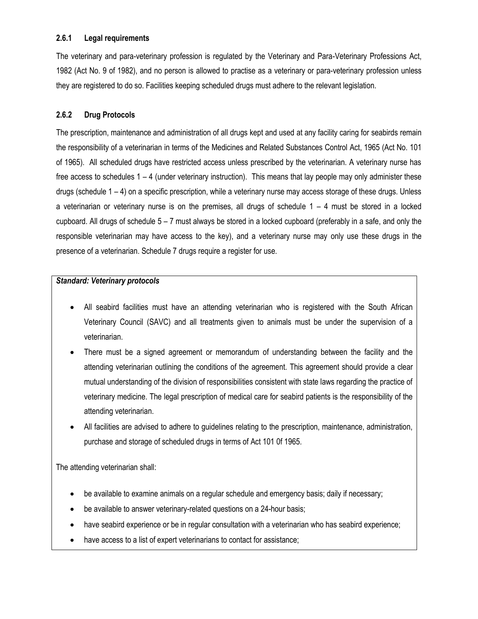#### **2.6.1 Legal requirements**

The veterinary and para-veterinary profession is regulated by the Veterinary and Para-Veterinary Professions Act, 1982 (Act No. 9 of 1982), and no person is allowed to practise as a veterinary or para-veterinary profession unless they are registered to do so. Facilities keeping scheduled drugs must adhere to the relevant legislation.

## **2.6.2 Drug Protocols**

The prescription, maintenance and administration of all drugs kept and used at any facility caring for seabirds remain the responsibility of a veterinarian in terms of the Medicines and Related Substances Control Act, 1965 (Act No. 101 of 1965). All scheduled drugs have restricted access unless prescribed by the veterinarian. A veterinary nurse has free access to schedules 1 – 4 (under veterinary instruction). This means that lay people may only administer these drugs (schedule 1 – 4) on a specific prescription, while a veterinary nurse may access storage of these drugs. Unless a veterinarian or veterinary nurse is on the premises, all drugs of schedule  $1 - 4$  must be stored in a locked cupboard. All drugs of schedule  $5 - 7$  must always be stored in a locked cupboard (preferably in a safe, and only the responsible veterinarian may have access to the key), and a veterinary nurse may only use these drugs in the presence of a veterinarian. Schedule 7 drugs require a register for use.

#### *Standard: Veterinary protocols*

- All seabird facilities must have an attending veterinarian who is registered with the South African Veterinary Council (SAVC) and all treatments given to animals must be under the supervision of a veterinarian.
- There must be a signed agreement or memorandum of understanding between the facility and the attending veterinarian outlining the conditions of the agreement. This agreement should provide a clear mutual understanding of the division of responsibilities consistent with state laws regarding the practice of veterinary medicine. The legal prescription of medical care for seabird patients is the responsibility of the attending veterinarian.
- All facilities are advised to adhere to guidelines relating to the prescription, maintenance, administration, purchase and storage of scheduled drugs in terms of Act 101 0f 1965.

The attending veterinarian shall:

- be available to examine animals on a regular schedule and emergency basis; daily if necessary;
- be available to answer veterinary-related questions on a 24-hour basis;
- have seabird experience or be in regular consultation with a veterinarian who has seabird experience;
- have access to a list of expert veterinarians to contact for assistance;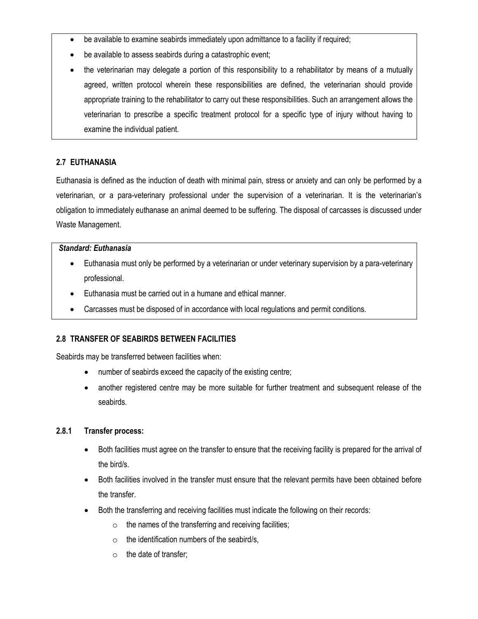- be available to examine seabirds immediately upon admittance to a facility if required;
- be available to assess seabirds during a catastrophic event;
- the veterinarian may delegate a portion of this responsibility to a rehabilitator by means of a mutually agreed, written protocol wherein these responsibilities are defined, the veterinarian should provide appropriate training to the rehabilitator to carry out these responsibilities. Such an arrangement allows the veterinarian to prescribe a specific treatment protocol for a specific type of injury without having to examine the individual patient.

## **2.7 EUTHANASIA**

Euthanasia is defined as the induction of death with minimal pain, stress or anxiety and can only be performed by a veterinarian, or a para-veterinary professional under the supervision of a veterinarian. It is the veterinarian's obligation to immediately euthanase an animal deemed to be suffering. The disposal of carcasses is discussed under Waste Management.

#### *Standard: Euthanasia*

- Euthanasia must only be performed by a veterinarian or under veterinary supervision by a para-veterinary professional.
- Euthanasia must be carried out in a humane and ethical manner.
- Carcasses must be disposed of in accordance with local regulations and permit conditions.

#### **2.8 TRANSFER OF SEABIRDS BETWEEN FACILITIES**

Seabirds may be transferred between facilities when:

- number of seabirds exceed the capacity of the existing centre;
- another registered centre may be more suitable for further treatment and subsequent release of the seabirds.

#### **2.8.1 Transfer process:**

- Both facilities must agree on the transfer to ensure that the receiving facility is prepared for the arrival of the bird/s.
- Both facilities involved in the transfer must ensure that the relevant permits have been obtained before the transfer.
- Both the transferring and receiving facilities must indicate the following on their records:
	- $\circ$  the names of the transferring and receiving facilities;
	- $\circ$  the identification numbers of the seabird/s,
	- $\circ$  the date of transfer;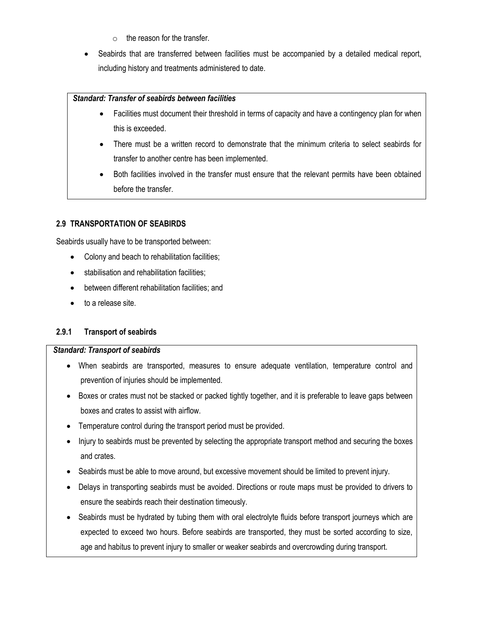- $\circ$  the reason for the transfer.
- Seabirds that are transferred between facilities must be accompanied by a detailed medical report, including history and treatments administered to date.

#### *Standard: Transfer of seabirds between facilities*

- Facilities must document their threshold in terms of capacity and have a contingency plan for when this is exceeded.
- There must be a written record to demonstrate that the minimum criteria to select seabirds for transfer to another centre has been implemented.
- Both facilities involved in the transfer must ensure that the relevant permits have been obtained before the transfer.

#### **2.9 TRANSPORTATION OF SEABIRDS**

Seabirds usually have to be transported between:

- Colony and beach to rehabilitation facilities;
- stabilisation and rehabilitation facilities;
- between different rehabilitation facilities; and
- to a release site.

#### **2.9.1 Transport of seabirds**

#### *Standard: Transport of seabirds*

- When seabirds are transported, measures to ensure adequate ventilation, temperature control and prevention of injuries should be implemented.
- Boxes or crates must not be stacked or packed tightly together, and it is preferable to leave gaps between boxes and crates to assist with airflow.
- Temperature control during the transport period must be provided.
- Injury to seabirds must be prevented by selecting the appropriate transport method and securing the boxes and crates.
- Seabirds must be able to move around, but excessive movement should be limited to prevent injury.
- Delays in transporting seabirds must be avoided. Directions or route maps must be provided to drivers to ensure the seabirds reach their destination timeously.
- Seabirds must be hydrated by tubing them with oral electrolyte fluids before transport journeys which are expected to exceed two hours. Before seabirds are transported, they must be sorted according to size, age and habitus to prevent injury to smaller or weaker seabirds and overcrowding during transport.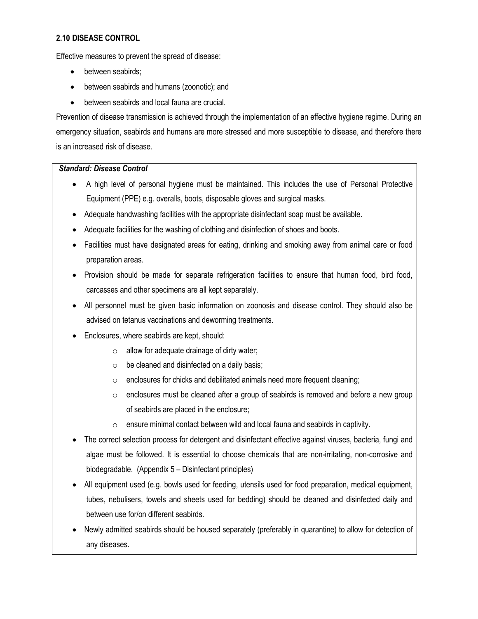#### **2.10 DISEASE CONTROL**

Effective measures to prevent the spread of disease:

- between seabirds;
- between seabirds and humans (zoonotic); and
- between seabirds and local fauna are crucial.

Prevention of disease transmission is achieved through the implementation of an effective hygiene regime. During an emergency situation, seabirds and humans are more stressed and more susceptible to disease, and therefore there is an increased risk of disease.

#### *Standard: Disease Control*

- A high level of personal hygiene must be maintained. This includes the use of Personal Protective Equipment (PPE) e.g. overalls, boots, disposable gloves and surgical masks.
- Adequate handwashing facilities with the appropriate disinfectant soap must be available.
- Adequate facilities for the washing of clothing and disinfection of shoes and boots.
- Facilities must have designated areas for eating, drinking and smoking away from animal care or food preparation areas.
- Provision should be made for separate refrigeration facilities to ensure that human food, bird food, carcasses and other specimens are all kept separately.
- All personnel must be given basic information on zoonosis and disease control. They should also be advised on tetanus vaccinations and deworming treatments.
- Enclosures, where seabirds are kept, should:
	- $\circ$  allow for adequate drainage of dirty water;
	- $\circ$  be cleaned and disinfected on a daily basis;
	- $\circ$  enclosures for chicks and debilitated animals need more frequent cleaning;
	- $\circ$  enclosures must be cleaned after a group of seabirds is removed and before a new group of seabirds are placed in the enclosure;
	- $\circ$  ensure minimal contact between wild and local fauna and seabirds in captivity.
- The correct selection process for detergent and disinfectant effective against viruses, bacteria, fungi and algae must be followed. It is essential to choose chemicals that are non-irritating, non-corrosive and biodegradable. (Appendix 5 – Disinfectant principles)
- All equipment used (e.g. bowls used for feeding, utensils used for food preparation, medical equipment, tubes, nebulisers, towels and sheets used for bedding) should be cleaned and disinfected daily and between use for/on different seabirds.
- Newly admitted seabirds should be housed separately (preferably in quarantine) to allow for detection of any diseases.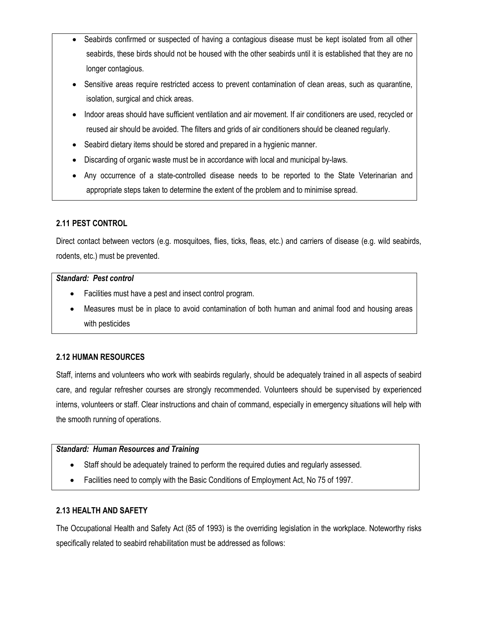- Seabirds confirmed or suspected of having a contagious disease must be kept isolated from all other seabirds, these birds should not be housed with the other seabirds until it is established that they are no longer contagious.
- Sensitive areas require restricted access to prevent contamination of clean areas, such as quarantine, isolation, surgical and chick areas.
- Indoor areas should have sufficient ventilation and air movement. If air conditioners are used, recycled or reused air should be avoided. The filters and grids of air conditioners should be cleaned regularly.
- Seabird dietary items should be stored and prepared in a hygienic manner.
- Discarding of organic waste must be in accordance with local and municipal by-laws.
- Any occurrence of a state-controlled disease needs to be reported to the State Veterinarian and appropriate steps taken to determine the extent of the problem and to minimise spread.

## **2.11 PEST CONTROL**

Direct contact between vectors (e.g. mosquitoes, flies, ticks, fleas, etc.) and carriers of disease (e.g. wild seabirds, rodents, etc.) must be prevented.

#### *Standard: Pest control*

- Facilities must have a pest and insect control program.
- Measures must be in place to avoid contamination of both human and animal food and housing areas with pesticides

## **2.12 HUMAN RESOURCES**

Staff, interns and volunteers who work with seabirds regularly, should be adequately trained in all aspects of seabird care, and regular refresher courses are strongly recommended. Volunteers should be supervised by experienced interns, volunteers or staff. Clear instructions and chain of command, especially in emergency situations will help with the smooth running of operations.

#### *Standard: Human Resources and Training*

- Staff should be adequately trained to perform the required duties and regularly assessed.
- Facilities need to comply with the Basic Conditions of Employment Act, No 75 of 1997.

#### **2.13 HEALTH AND SAFETY**

The Occupational Health and Safety Act (85 of 1993) is the overriding legislation in the workplace. Noteworthy risks specifically related to seabird rehabilitation must be addressed as follows: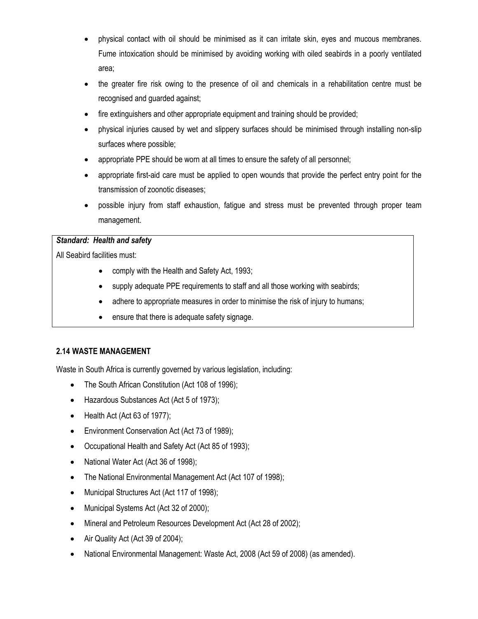- physical contact with oil should be minimised as it can irritate skin, eyes and mucous membranes. Fume intoxication should be minimised by avoiding working with oiled seabirds in a poorly ventilated area;
- the greater fire risk owing to the presence of oil and chemicals in a rehabilitation centre must be recognised and guarded against;
- fire extinguishers and other appropriate equipment and training should be provided;
- physical injuries caused by wet and slippery surfaces should be minimised through installing non-slip surfaces where possible;
- appropriate PPE should be worn at all times to ensure the safety of all personnel;
- appropriate first-aid care must be applied to open wounds that provide the perfect entry point for the transmission of zoonotic diseases;
- possible injury from staff exhaustion, fatigue and stress must be prevented through proper team management.

#### *Standard: Health and safety*

All Seabird facilities must:

- comply with the Health and Safety Act, 1993;
- supply adequate PPE requirements to staff and all those working with seabirds;
- adhere to appropriate measures in order to minimise the risk of injury to humans;
- ensure that there is adequate safety signage.

#### **2.14 WASTE MANAGEMENT**

Waste in South Africa is currently governed by various legislation, including:

- The South African Constitution (Act 108 of 1996);
- Hazardous Substances Act (Act 5 of 1973);
- $\bullet$  Health Act (Act 63 of 1977);
- Environment Conservation Act (Act 73 of 1989);
- Occupational Health and Safety Act (Act 85 of 1993);
- National Water Act (Act 36 of 1998);
- The National Environmental Management Act (Act 107 of 1998);
- Municipal Structures Act (Act 117 of 1998);
- Municipal Systems Act (Act 32 of 2000);
- Mineral and Petroleum Resources Development Act (Act 28 of 2002);
- Air Quality Act (Act 39 of 2004);
- National Environmental Management: Waste Act, 2008 (Act 59 of 2008) (as amended).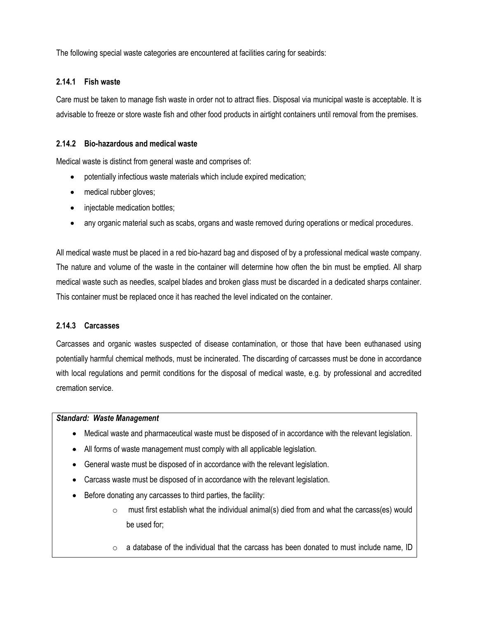The following special waste categories are encountered at facilities caring for seabirds:

#### **2.14.1 Fish waste**

Care must be taken to manage fish waste in order not to attract flies. Disposal via municipal waste is acceptable. It is advisable to freeze or store waste fish and other food products in airtight containers until removal from the premises.

#### **2.14.2 Bio-hazardous and medical waste**

Medical waste is distinct from general waste and comprises of:

- potentially infectious waste materials which include expired medication;
- medical rubber gloves;
- injectable medication bottles;
- any organic material such as scabs, organs and waste removed during operations or medical procedures.

All medical waste must be placed in a red bio-hazard bag and disposed of by a professional medical waste company. The nature and volume of the waste in the container will determine how often the bin must be emptied. All sharp medical waste such as needles, scalpel blades and broken glass must be discarded in a dedicated sharps container. This container must be replaced once it has reached the level indicated on the container.

#### **2.14.3 Carcasses**

Carcasses and organic wastes suspected of disease contamination, or those that have been euthanased using potentially harmful chemical methods, must be incinerated. The discarding of carcasses must be done in accordance with local regulations and permit conditions for the disposal of medical waste, e.g. by professional and accredited cremation service.

#### *Standard: Waste Management*

- Medical waste and pharmaceutical waste must be disposed of in accordance with the relevant legislation.
- All forms of waste management must comply with all applicable legislation.
- General waste must be disposed of in accordance with the relevant legislation.
- Carcass waste must be disposed of in accordance with the relevant legislation.
- Before donating any carcasses to third parties, the facility:
	- $\circ$  must first establish what the individual animal(s) died from and what the carcass(es) would be used for;
	- $\circ$  a database of the individual that the carcass has been donated to must include name, ID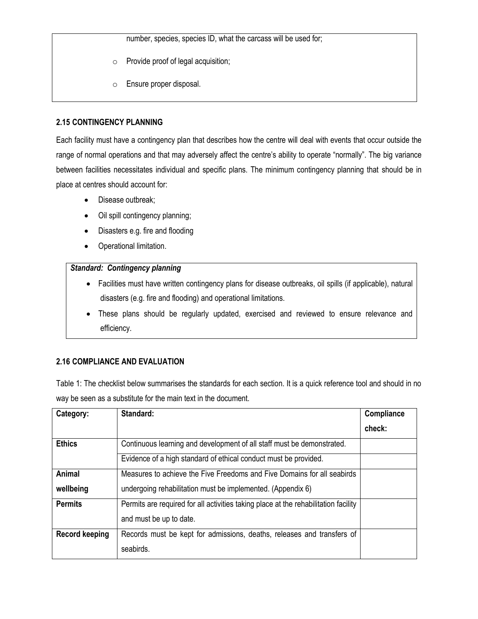number, species, species ID, what the carcass will be used for;

- o Provide proof of legal acquisition;
- o Ensure proper disposal.

## **2.15 CONTINGENCY PLANNING**

Each facility must have a contingency plan that describes how the centre will deal with events that occur outside the range of normal operations and that may adversely affect the centre's ability to operate "normally". The big variance between facilities necessitates individual and specific plans. The minimum contingency planning that should be in place at centres should account for:

- Disease outbreak;
- Oil spill contingency planning;
- Disasters e.g. fire and flooding
- Operational limitation.

## *Standard: Contingency planning*

- Facilities must have written contingency plans for disease outbreaks, oil spills (if applicable), natural disasters (e.g. fire and flooding) and operational limitations.
- These plans should be regularly updated, exercised and reviewed to ensure relevance and efficiency.

## **2.16 COMPLIANCE AND EVALUATION**

Table 1: The checklist below summarises the standards for each section. It is a quick reference tool and should in no way be seen as a substitute for the main text in the document.

| Category:             | Standard:                                                                           | Compliance |
|-----------------------|-------------------------------------------------------------------------------------|------------|
|                       |                                                                                     | check:     |
| <b>Ethics</b>         | Continuous learning and development of all staff must be demonstrated.              |            |
|                       | Evidence of a high standard of ethical conduct must be provided.                    |            |
| Animal                | Measures to achieve the Five Freedoms and Five Domains for all seabirds             |            |
| wellbeing             | undergoing rehabilitation must be implemented. (Appendix 6)                         |            |
| <b>Permits</b>        | Permits are required for all activities taking place at the rehabilitation facility |            |
|                       | and must be up to date.                                                             |            |
| <b>Record keeping</b> | Records must be kept for admissions, deaths, releases and transfers of              |            |
|                       | seabirds.                                                                           |            |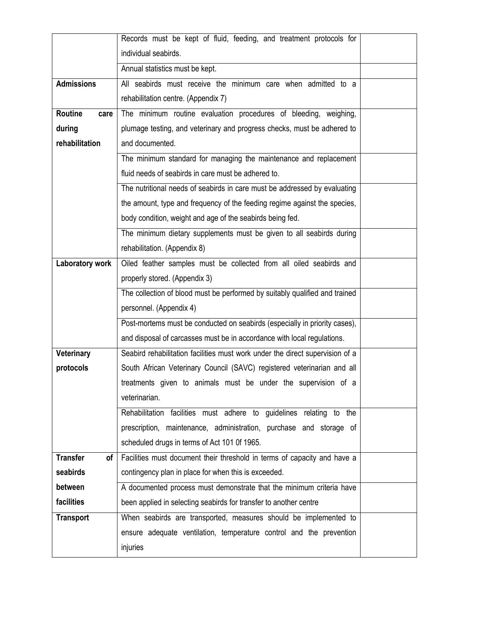|                        | Records must be kept of fluid, feeding, and treatment protocols for           |  |  |  |
|------------------------|-------------------------------------------------------------------------------|--|--|--|
|                        | individual seabirds.                                                          |  |  |  |
|                        | Annual statistics must be kept.                                               |  |  |  |
| <b>Admissions</b>      | All seabirds must receive the minimum care when admitted to a                 |  |  |  |
|                        | rehabilitation centre. (Appendix 7)                                           |  |  |  |
| <b>Routine</b><br>care | The minimum routine evaluation procedures of bleeding, weighing,              |  |  |  |
| during                 | plumage testing, and veterinary and progress checks, must be adhered to       |  |  |  |
| rehabilitation         | and documented.                                                               |  |  |  |
|                        | The minimum standard for managing the maintenance and replacement             |  |  |  |
|                        | fluid needs of seabirds in care must be adhered to.                           |  |  |  |
|                        | The nutritional needs of seabirds in care must be addressed by evaluating     |  |  |  |
|                        | the amount, type and frequency of the feeding regime against the species,     |  |  |  |
|                        | body condition, weight and age of the seabirds being fed.                     |  |  |  |
|                        | The minimum dietary supplements must be given to all seabirds during          |  |  |  |
|                        | rehabilitation. (Appendix 8)                                                  |  |  |  |
| Laboratory work        | Oiled feather samples must be collected from all oiled seabirds and           |  |  |  |
|                        | properly stored. (Appendix 3)                                                 |  |  |  |
|                        | The collection of blood must be performed by suitably qualified and trained   |  |  |  |
|                        | personnel. (Appendix 4)                                                       |  |  |  |
|                        | Post-mortems must be conducted on seabirds (especially in priority cases),    |  |  |  |
|                        | and disposal of carcasses must be in accordance with local regulations.       |  |  |  |
| Veterinary             | Seabird rehabilitation facilities must work under the direct supervision of a |  |  |  |
| protocols              | South African Veterinary Council (SAVC) registered veterinarian and all       |  |  |  |
|                        | treatments given to animals must be under the supervision of a                |  |  |  |
|                        | veterinarian.                                                                 |  |  |  |
|                        | Rehabilitation facilities must adhere to guidelines relating to the           |  |  |  |
|                        | prescription, maintenance, administration, purchase and storage of            |  |  |  |
|                        | scheduled drugs in terms of Act 101 0f 1965.                                  |  |  |  |
| <b>Transfer</b><br>οf  | Facilities must document their threshold in terms of capacity and have a      |  |  |  |
| seabirds               | contingency plan in place for when this is exceeded.                          |  |  |  |
| between                | A documented process must demonstrate that the minimum criteria have          |  |  |  |
| facilities             | been applied in selecting seabirds for transfer to another centre             |  |  |  |
| <b>Transport</b>       | When seabirds are transported, measures should be implemented to              |  |  |  |
|                        | ensure adequate ventilation, temperature control and the prevention           |  |  |  |
|                        | injuries                                                                      |  |  |  |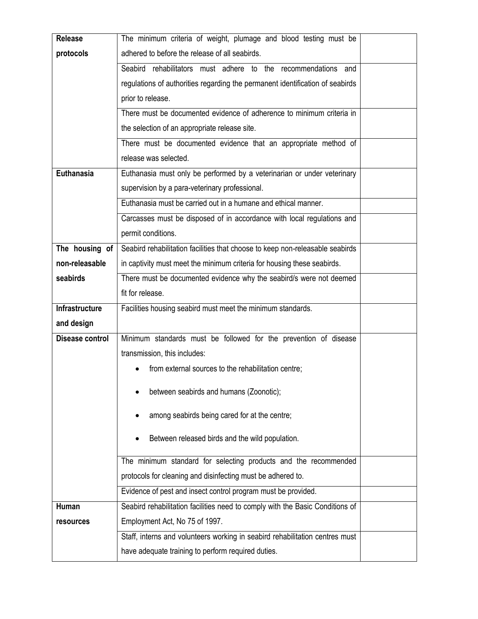| Release         | The minimum criteria of weight, plumage and blood testing must be             |  |  |  |  |
|-----------------|-------------------------------------------------------------------------------|--|--|--|--|
| protocols       | adhered to before the release of all seabirds.                                |  |  |  |  |
|                 | Seabird rehabilitators must adhere to the recommendations and                 |  |  |  |  |
|                 | regulations of authorities regarding the permanent identification of seabirds |  |  |  |  |
|                 | prior to release.                                                             |  |  |  |  |
|                 | There must be documented evidence of adherence to minimum criteria in         |  |  |  |  |
|                 | the selection of an appropriate release site.                                 |  |  |  |  |
|                 | There must be documented evidence that an appropriate method of               |  |  |  |  |
|                 | release was selected.                                                         |  |  |  |  |
| Euthanasia      | Euthanasia must only be performed by a veterinarian or under veterinary       |  |  |  |  |
|                 | supervision by a para-veterinary professional.                                |  |  |  |  |
|                 | Euthanasia must be carried out in a humane and ethical manner.                |  |  |  |  |
|                 | Carcasses must be disposed of in accordance with local regulations and        |  |  |  |  |
|                 | permit conditions.                                                            |  |  |  |  |
| The housing of  | Seabird rehabilitation facilities that choose to keep non-releasable seabirds |  |  |  |  |
| non-releasable  | in captivity must meet the minimum criteria for housing these seabirds.       |  |  |  |  |
| seabirds        | There must be documented evidence why the seabird/s were not deemed           |  |  |  |  |
|                 | fit for release.                                                              |  |  |  |  |
| Infrastructure  | Facilities housing seabird must meet the minimum standards.                   |  |  |  |  |
| and design      |                                                                               |  |  |  |  |
| Disease control | Minimum standards must be followed for the prevention of disease              |  |  |  |  |
|                 | transmission, this includes:                                                  |  |  |  |  |
|                 | from external sources to the rehabilitation centre;                           |  |  |  |  |
|                 | between seabirds and humans (Zoonotic);                                       |  |  |  |  |
|                 |                                                                               |  |  |  |  |
|                 | among seabirds being cared for at the centre;                                 |  |  |  |  |
|                 | Between released birds and the wild population.                               |  |  |  |  |
|                 |                                                                               |  |  |  |  |
|                 | The minimum standard for selecting products and the recommended               |  |  |  |  |
|                 | protocols for cleaning and disinfecting must be adhered to.                   |  |  |  |  |
|                 | Evidence of pest and insect control program must be provided.                 |  |  |  |  |
| Human           | Seabird rehabilitation facilities need to comply with the Basic Conditions of |  |  |  |  |
| resources       | Employment Act, No 75 of 1997.                                                |  |  |  |  |
|                 | Staff, interns and volunteers working in seabird rehabilitation centres must  |  |  |  |  |
|                 | have adequate training to perform required duties.                            |  |  |  |  |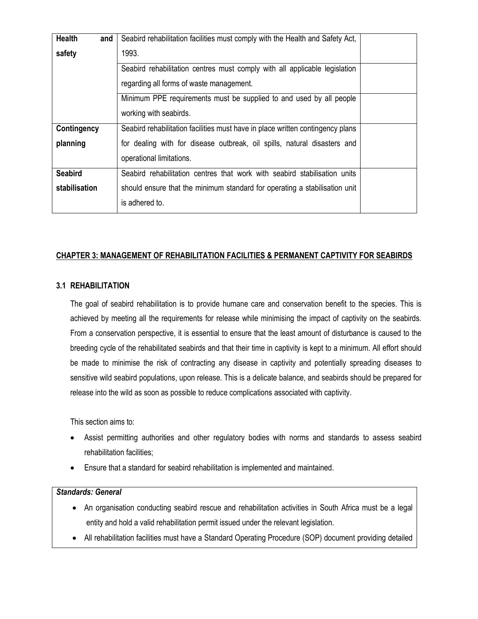| <b>Health</b><br>and | Seabird rehabilitation facilities must comply with the Health and Safety Act,  |  |
|----------------------|--------------------------------------------------------------------------------|--|
| safety               | 1993.                                                                          |  |
|                      | Seabird rehabilitation centres must comply with all applicable legislation     |  |
|                      | regarding all forms of waste management.                                       |  |
|                      | Minimum PPE requirements must be supplied to and used by all people            |  |
|                      | working with seabirds.                                                         |  |
| <b>Contingency</b>   | Seabird rehabilitation facilities must have in place written contingency plans |  |
| planning             | for dealing with for disease outbreak, oil spills, natural disasters and       |  |
|                      | operational limitations.                                                       |  |
| <b>Seabird</b>       | Seabird rehabilitation centres that work with seabird stabilisation units      |  |
| stabilisation        | should ensure that the minimum standard for operating a stabilisation unit     |  |
|                      | is adhered to.                                                                 |  |

#### **CHAPTER 3: MANAGEMENT OF REHABILITATION FACILITIES & PERMANENT CAPTIVITY FOR SEABIRDS**

#### **3.1 REHABILITATION**

The goal of seabird rehabilitation is to provide humane care and conservation benefit to the species. This is achieved by meeting all the requirements for release while minimising the impact of captivity on the seabirds. From a conservation perspective, it is essential to ensure that the least amount of disturbance is caused to the breeding cycle of the rehabilitated seabirds and that their time in captivity is kept to a minimum. All effort should be made to minimise the risk of contracting any disease in captivity and potentially spreading diseases to sensitive wild seabird populations, upon release. This is a delicate balance, and seabirds should be prepared for release into the wild as soon as possible to reduce complications associated with captivity.

This section aims to:

- Assist permitting authorities and other regulatory bodies with norms and standards to assess seabird rehabilitation facilities;
- Ensure that a standard for seabird rehabilitation is implemented and maintained.

#### *Standards: General*

- An organisation conducting seabird rescue and rehabilitation activities in South Africa must be a legal entity and hold a valid rehabilitation permit issued under the relevant legislation.
- All rehabilitation facilities must have a Standard Operating Procedure (SOP) document providing detailed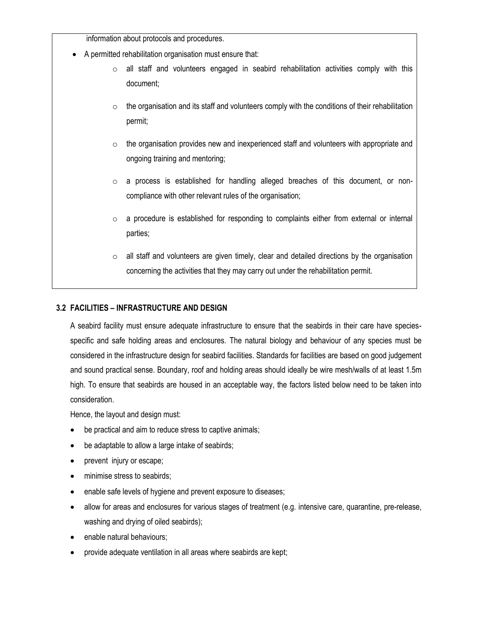information about protocols and procedures.

- A permitted rehabilitation organisation must ensure that:
	- o all staff and volunteers engaged in seabird rehabilitation activities comply with this document;
	- $\circ$  the organisation and its staff and volunteers comply with the conditions of their rehabilitation permit;
	- $\circ$  the organisation provides new and inexperienced staff and volunteers with appropriate and ongoing training and mentoring;
	- $\circ$  a process is established for handling alleged breaches of this document, or noncompliance with other relevant rules of the organisation;
	- $\circ$  a procedure is established for responding to complaints either from external or internal parties;
	- $\circ$  all staff and volunteers are given timely, clear and detailed directions by the organisation concerning the activities that they may carry out under the rehabilitation permit.

#### **3.2 FACILITIES – INFRASTRUCTURE AND DESIGN**

A seabird facility must ensure adequate infrastructure to ensure that the seabirds in their care have speciesspecific and safe holding areas and enclosures. The natural biology and behaviour of any species must be considered in the infrastructure design for seabird facilities. Standards for facilities are based on good judgement and sound practical sense. Boundary, roof and holding areas should ideally be wire mesh/walls of at least 1.5m high. To ensure that seabirds are housed in an acceptable way, the factors listed below need to be taken into consideration.

Hence, the layout and design must:

- be practical and aim to reduce stress to captive animals;
- be adaptable to allow a large intake of seabirds;
- prevent injury or escape;
- minimise stress to seabirds;
- enable safe levels of hygiene and prevent exposure to diseases;
- allow for areas and enclosures for various stages of treatment (e.g. intensive care, quarantine, pre-release, washing and drying of oiled seabirds);
- enable natural behaviours;
- provide adequate ventilation in all areas where seabirds are kept;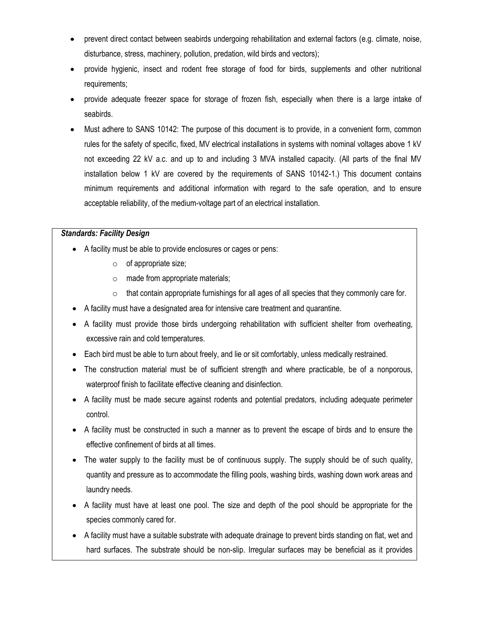- prevent direct contact between seabirds undergoing rehabilitation and external factors (e.g. climate, noise, disturbance, stress, machinery, pollution, predation, wild birds and vectors);
- provide hygienic, insect and rodent free storage of food for birds, supplements and other nutritional requirements;
- provide adequate freezer space for storage of frozen fish, especially when there is a large intake of seabirds.
- Must adhere to SANS 10142: The purpose of this document is to provide, in a convenient form, common rules for the safety of specific, fixed, MV electrical installations in systems with nominal voltages above 1 kV not exceeding 22 kV a.c. and up to and including 3 MVA installed capacity. (All parts of the final MV installation below 1 kV are covered by the requirements of SANS 10142-1.) This document contains minimum requirements and additional information with regard to the safe operation, and to ensure acceptable reliability, of the medium-voltage part of an electrical installation.

#### *Standards: Facility Design*

- A facility must be able to provide enclosures or cages or pens:
	- $\circ$  of appropriate size;
	- $\circ$  made from appropriate materials;
	- $\circ$  that contain appropriate furnishings for all ages of all species that they commonly care for.
- A facility must have a designated area for intensive care treatment and quarantine.
- A facility must provide those birds undergoing rehabilitation with sufficient shelter from overheating, excessive rain and cold temperatures.
- Each bird must be able to turn about freely, and lie or sit comfortably, unless medically restrained.
- The construction material must be of sufficient strength and where practicable, be of a nonporous, waterproof finish to facilitate effective cleaning and disinfection.
- A facility must be made secure against rodents and potential predators, including adequate perimeter control.
- A facility must be constructed in such a manner as to prevent the escape of birds and to ensure the effective confinement of birds at all times.
- The water supply to the facility must be of continuous supply. The supply should be of such quality, quantity and pressure as to accommodate the filling pools, washing birds, washing down work areas and laundry needs.
- A facility must have at least one pool. The size and depth of the pool should be appropriate for the species commonly cared for.
- A facility must have a suitable substrate with adequate drainage to prevent birds standing on flat, wet and hard surfaces. The substrate should be non-slip. Irregular surfaces may be beneficial as it provides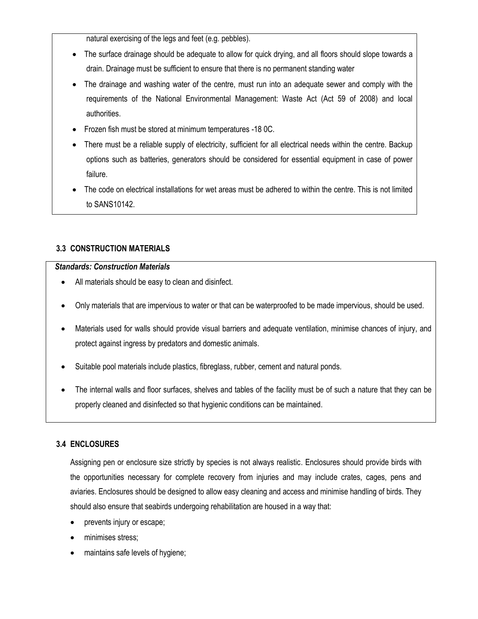natural exercising of the legs and feet (e.g. pebbles).

- The surface drainage should be adequate to allow for quick drying, and all floors should slope towards a drain. Drainage must be sufficient to ensure that there is no permanent standing water
- The drainage and washing water of the centre, must run into an adequate sewer and comply with the requirements of the National Environmental Management: Waste Act (Act 59 of 2008) and local authorities.
- Frozen fish must be stored at minimum temperatures -18 0C.
- There must be a reliable supply of electricity, sufficient for all electrical needs within the centre. Backup options such as batteries, generators should be considered for essential equipment in case of power failure.
- The code on electrical installations for wet areas must be adhered to within the centre. This is not limited to SANS10142.

## **3.3 CONSTRUCTION MATERIALS**

#### *Standards: Construction Materials*

- All materials should be easy to clean and disinfect.
- Only materials that are impervious to water or that can be waterproofed to be made impervious, should be used.
- Materials used for walls should provide visual barriers and adequate ventilation, minimise chances of injury, and protect against ingress by predators and domestic animals.
- Suitable pool materials include plastics, fibreglass, rubber, cement and natural ponds.
- The internal walls and floor surfaces, shelves and tables of the facility must be of such a nature that they can be properly cleaned and disinfected so that hygienic conditions can be maintained.

## **3.4 ENCLOSURES**

Assigning pen or enclosure size strictly by species is not always realistic. Enclosures should provide birds with the opportunities necessary for complete recovery from injuries and may include crates, cages, pens and aviaries. Enclosures should be designed to allow easy cleaning and access and minimise handling of birds. They should also ensure that seabirds undergoing rehabilitation are housed in a way that:

- prevents injury or escape;
- minimises stress;
- maintains safe levels of hygiene;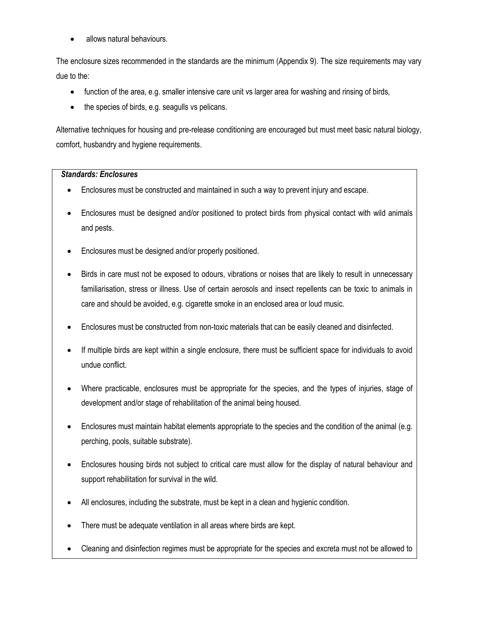allows natural behaviours.

The enclosure sizes recommended in the standards are the minimum (Appendix 9). The size requirements may vary due to the:

- function of the area, e.g. smaller intensive care unit vs larger area for washing and rinsing of birds,
- the species of birds, e.g. seagulls vs pelicans.

Alternative techniques for housing and pre-release conditioning are encouraged but must meet basic natural biology, comfort, husbandry and hygiene requirements.

#### *Standards: Enclosures*

- Enclosures must be constructed and maintained in such a way to prevent injury and escape.
- Enclosures must be designed and/or positioned to protect birds from physical contact with wild animals and pests.
- Enclosures must be designed and/or properly positioned.
- Birds in care must not be exposed to odours, vibrations or noises that are likely to result in unnecessary familiarisation, stress or illness. Use of certain aerosols and insect repellents can be toxic to animals in care and should be avoided, e.g. cigarette smoke in an enclosed area or loud music.
- Enclosures must be constructed from non-toxic materials that can be easily cleaned and disinfected.
- If multiple birds are kept within a single enclosure, there must be sufficient space for individuals to avoid undue conflict.
- Where practicable, enclosures must be appropriate for the species, and the types of injuries, stage of development and/or stage of rehabilitation of the animal being housed.
- Enclosures must maintain habitat elements appropriate to the species and the condition of the animal (e.g. perching, pools, suitable substrate).
- Enclosures housing birds not subject to critical care must allow for the display of natural behaviour and support rehabilitation for survival in the wild.
- All enclosures, including the substrate, must be kept in a clean and hygienic condition.
- There must be adequate ventilation in all areas where birds are kept.
- Cleaning and disinfection regimes must be appropriate for the species and excreta must not be allowed to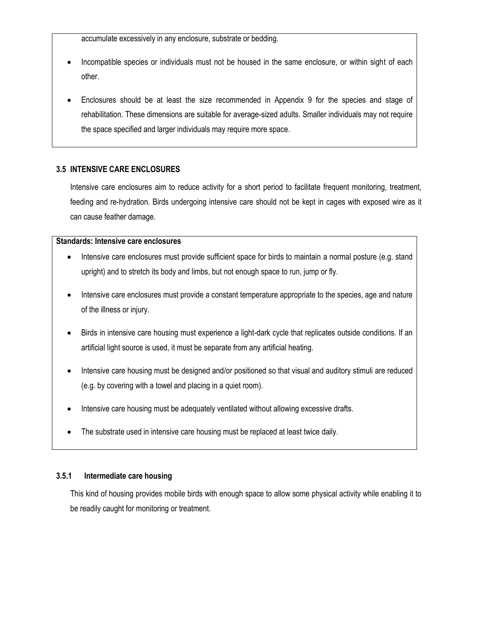accumulate excessively in any enclosure, substrate or bedding.

- Incompatible species or individuals must not be housed in the same enclosure, or within sight of each other.
- Enclosures should be at least the size recommended in Appendix 9 for the species and stage of rehabilitation. These dimensions are suitable for average-sized adults. Smaller individuals may not require the space specified and larger individuals may require more space.

#### **3.5 INTENSIVE CARE ENCLOSURES**

Intensive care enclosures aim to reduce activity for a short period to facilitate frequent monitoring, treatment, feeding and re-hydration. Birds undergoing intensive care should not be kept in cages with exposed wire as it can cause feather damage.

#### **Standards: Intensive care enclosures**

- Intensive care enclosures must provide sufficient space for birds to maintain a normal posture (e.g. stand upright) and to stretch its body and limbs, but not enough space to run, jump or fly.
- Intensive care enclosures must provide a constant temperature appropriate to the species, age and nature of the illness or injury.
- Birds in intensive care housing must experience a light-dark cycle that replicates outside conditions. If an artificial light source is used, it must be separate from any artificial heating.
- Intensive care housing must be designed and/or positioned so that visual and auditory stimuli are reduced (e.g. by covering with a towel and placing in a quiet room).
- Intensive care housing must be adequately ventilated without allowing excessive drafts.
- The substrate used in intensive care housing must be replaced at least twice daily.

#### **3.5.1 Intermediate care housing**

This kind of housing provides mobile birds with enough space to allow some physical activity while enabling it to be readily caught for monitoring or treatment.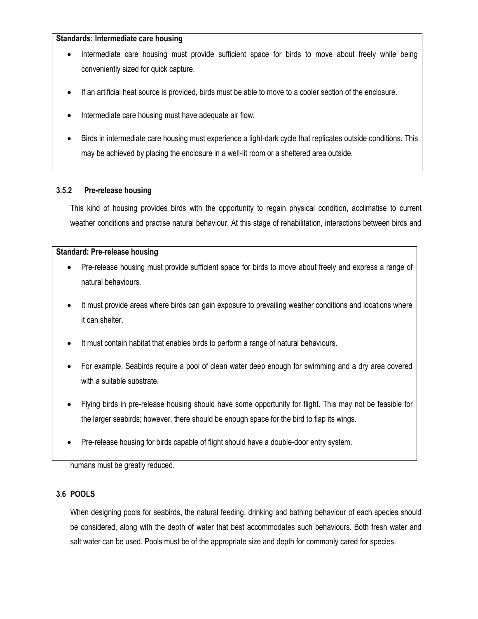#### **Standards: Intermediate care housing**

- Intermediate care housing must provide sufficient space for birds to move about freely while being conveniently sized for quick capture.
- If an artificial heat source is provided, birds must be able to move to a cooler section of the enclosure.
- Intermediate care housing must have adequate air flow.
- Birds in intermediate care housing must experience a light-dark cycle that replicates outside conditions. This may be achieved by placing the enclosure in a well-lit room or a sheltered area outside.

#### **3.5.2 Pre-release housing**

This kind of housing provides birds with the opportunity to regain physical condition, acclimatise to current weather conditions and practise natural behaviour. At this stage of rehabilitation, interactions between birds and

#### **Standard: Pre-release housing**

- Pre-release housing must provide sufficient space for birds to move about freely and express a range of natural behaviours.
- It must provide areas where birds can gain exposure to prevailing weather conditions and locations where it can shelter.
- It must contain habitat that enables birds to perform a range of natural behaviours.
- For example, Seabirds require a pool of clean water deep enough for swimming and a dry area covered with a suitable substrate.
- Flying birds in pre-release housing should have some opportunity for flight. This may not be feasible for the larger seabirds; however, there should be enough space for the bird to flap its wings.
- Pre-release housing for birds capable of flight should have a double-door entry system.

humans must be greatly reduced.

#### **3.6 POOLS**

When designing pools for seabirds, the natural feeding, drinking and bathing behaviour of each species should be considered, along with the depth of water that best accommodates such behaviours. Both fresh water and salt water can be used. Pools must be of the appropriate size and depth for commonly cared for species.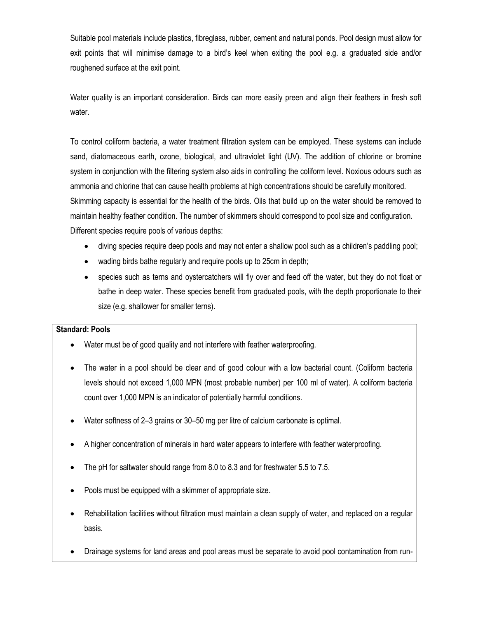Suitable pool materials include plastics, fibreglass, rubber, cement and natural ponds. Pool design must allow for exit points that will minimise damage to a bird's keel when exiting the pool e.g. a graduated side and/or roughened surface at the exit point.

Water quality is an important consideration. Birds can more easily preen and align their feathers in fresh soft water.

To control coliform bacteria, a water treatment filtration system can be employed. These systems can include sand, diatomaceous earth, ozone, biological, and ultraviolet light (UV). The addition of chlorine or bromine system in conjunction with the filtering system also aids in controlling the coliform level. Noxious odours such as ammonia and chlorine that can cause health problems at high concentrations should be carefully monitored. Skimming capacity is essential for the health of the birds. Oils that build up on the water should be removed to maintain healthy feather condition. The number of skimmers should correspond to pool size and configuration. Different species require pools of various depths:

- diving species require deep pools and may not enter a shallow pool such as a children's paddling pool;
- wading birds bathe regularly and require pools up to 25cm in depth;
- species such as terns and oystercatchers will fly over and feed off the water, but they do not float or bathe in deep water. These species benefit from graduated pools, with the depth proportionate to their size (e.g. shallower for smaller terns).

#### **Standard: Pools**

- Water must be of good quality and not interfere with feather waterproofing.
- The water in a pool should be clear and of good colour with a low bacterial count. (Coliform bacteria levels should not exceed 1,000 MPN (most probable number) per 100 ml of water). A coliform bacteria count over 1,000 MPN is an indicator of potentially harmful conditions.
- Water softness of 2–3 grains or 30–50 mg per litre of calcium carbonate is optimal.
- A higher concentration of minerals in hard water appears to interfere with feather waterproofing.
- The pH for saltwater should range from 8.0 to 8.3 and for freshwater 5.5 to 7.5.
- Pools must be equipped with a skimmer of appropriate size.
- Rehabilitation facilities without filtration must maintain a clean supply of water, and replaced on a regular basis.
- Drainage systems for land areas and pool areas must be separate to avoid pool contamination from run-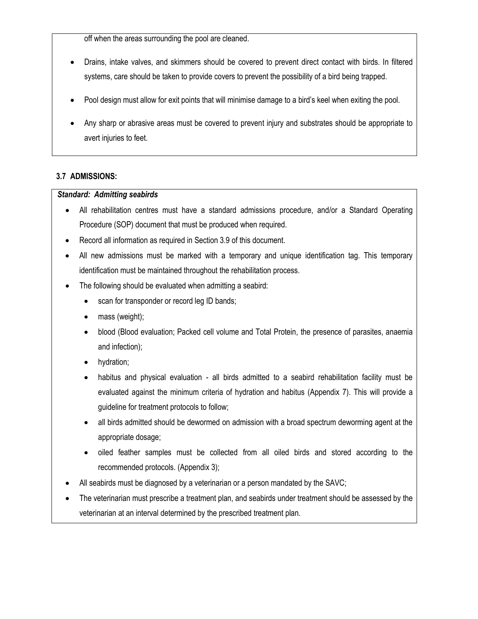off when the areas surrounding the pool are cleaned.

- Drains, intake valves, and skimmers should be covered to prevent direct contact with birds. In filtered systems, care should be taken to provide covers to prevent the possibility of a bird being trapped.
- Pool design must allow for exit points that will minimise damage to a bird's keel when exiting the pool.
- Any sharp or abrasive areas must be covered to prevent injury and substrates should be appropriate to avert injuries to feet.

#### **3.7 ADMISSIONS:**

#### *Standard: Admitting seabirds*

- All rehabilitation centres must have a standard admissions procedure, and/or a Standard Operating Procedure (SOP) document that must be produced when required.
- Record all information as required in Section 3.9 of this document.
- All new admissions must be marked with a temporary and unique identification tag. This temporary identification must be maintained throughout the rehabilitation process.
- The following should be evaluated when admitting a seabird:
	- scan for transponder or record leg ID bands;
	- mass (weight);
	- blood (Blood evaluation; Packed cell volume and Total Protein, the presence of parasites, anaemia and infection);
	- hydration;
	- habitus and physical evaluation all birds admitted to a seabird rehabilitation facility must be evaluated against the minimum criteria of hydration and habitus (Appendix 7). This will provide a guideline for treatment protocols to follow;
	- all birds admitted should be dewormed on admission with a broad spectrum deworming agent at the appropriate dosage;
	- oiled feather samples must be collected from all oiled birds and stored according to the recommended protocols. (Appendix 3);
- All seabirds must be diagnosed by a veterinarian or a person mandated by the SAVC;
- The veterinarian must prescribe a treatment plan, and seabirds under treatment should be assessed by the veterinarian at an interval determined by the prescribed treatment plan.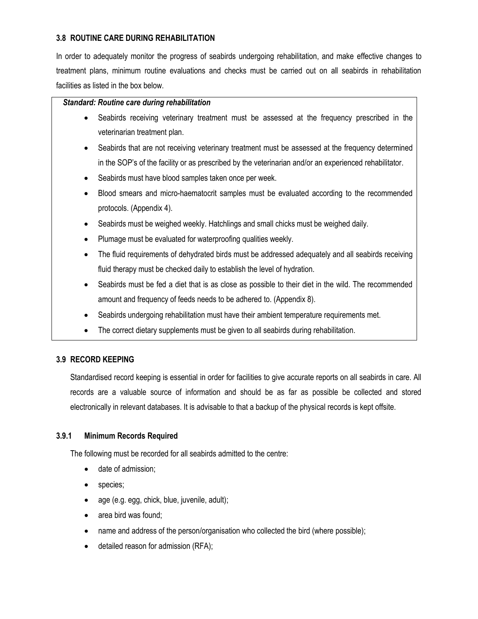#### **3.8 ROUTINE CARE DURING REHABILITATION**

In order to adequately monitor the progress of seabirds undergoing rehabilitation, and make effective changes to treatment plans, minimum routine evaluations and checks must be carried out on all seabirds in rehabilitation facilities as listed in the box below.

#### *Standard: Routine care during rehabilitation*

- Seabirds receiving veterinary treatment must be assessed at the frequency prescribed in the veterinarian treatment plan.
- Seabirds that are not receiving veterinary treatment must be assessed at the frequency determined in the SOP's of the facility or as prescribed by the veterinarian and/or an experienced rehabilitator.
- Seabirds must have blood samples taken once per week.
- Blood smears and micro-haematocrit samples must be evaluated according to the recommended protocols. (Appendix 4).
- Seabirds must be weighed weekly. Hatchlings and small chicks must be weighed daily.
- Plumage must be evaluated for waterproofing qualities weekly.
- The fluid requirements of dehydrated birds must be addressed adequately and all seabirds receiving fluid therapy must be checked daily to establish the level of hydration.
- Seabirds must be fed a diet that is as close as possible to their diet in the wild. The recommended amount and frequency of feeds needs to be adhered to. (Appendix 8).
- Seabirds undergoing rehabilitation must have their ambient temperature requirements met.
- The correct dietary supplements must be given to all seabirds during rehabilitation.

#### **3.9 RECORD KEEPING**

Standardised record keeping is essential in order for facilities to give accurate reports on all seabirds in care. All records are a valuable source of information and should be as far as possible be collected and stored electronically in relevant databases. It is advisable to that a backup of the physical records is kept offsite.

#### **3.9.1 Minimum Records Required**

The following must be recorded for all seabirds admitted to the centre:

- date of admission;
- species;
- age (e.g. egg, chick, blue, juvenile, adult);
- area bird was found;
- name and address of the person/organisation who collected the bird (where possible);
- detailed reason for admission (RFA);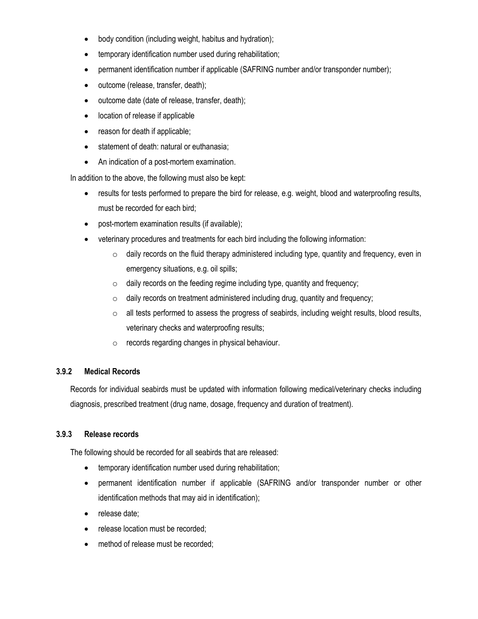- body condition (including weight, habitus and hydration);
- temporary identification number used during rehabilitation;
- permanent identification number if applicable (SAFRING number and/or transponder number);
- outcome (release, transfer, death);
- outcome date (date of release, transfer, death);
- location of release if applicable
- reason for death if applicable;
- statement of death: natural or euthanasia;
- An indication of a post-mortem examination.

In addition to the above, the following must also be kept:

- results for tests performed to prepare the bird for release, e.g. weight, blood and waterproofing results, must be recorded for each bird;
- post-mortem examination results (if available);
- veterinary procedures and treatments for each bird including the following information:
	- o daily records on the fluid therapy administered including type, quantity and frequency, even in emergency situations, e.g. oil spills;
	- $\circ$  daily records on the feeding regime including type, quantity and frequency;
	- $\circ$  daily records on treatment administered including drug, quantity and frequency;
	- o all tests performed to assess the progress of seabirds, including weight results, blood results, veterinary checks and waterproofing results;
	- $\circ$  records regarding changes in physical behaviour.

#### **3.9.2 Medical Records**

Records for individual seabirds must be updated with information following medical/veterinary checks including diagnosis, prescribed treatment (drug name, dosage, frequency and duration of treatment).

#### **3.9.3 Release records**

The following should be recorded for all seabirds that are released:

- temporary identification number used during rehabilitation;
- permanent identification number if applicable (SAFRING and/or transponder number or other identification methods that may aid in identification);
- release date:
- release location must be recorded;
- method of release must be recorded;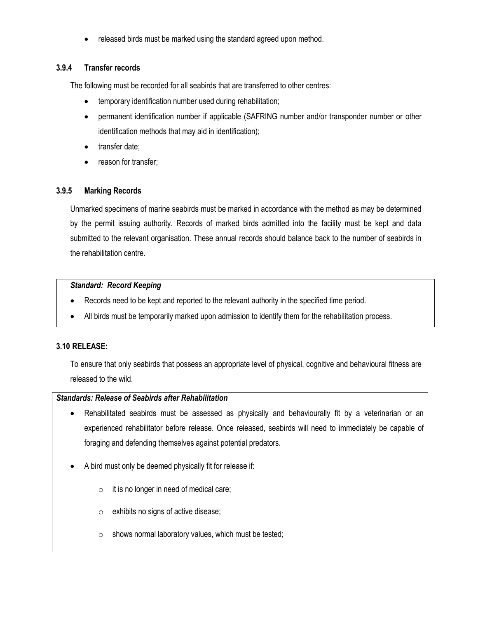• released birds must be marked using the standard agreed upon method.

## **3.9.4 Transfer records**

The following must be recorded for all seabirds that are transferred to other centres:

- temporary identification number used during rehabilitation;
- permanent identification number if applicable (SAFRING number and/or transponder number or other identification methods that may aid in identification);
- transfer date;
- reason for transfer;

#### **3.9.5 Marking Records**

Unmarked specimens of marine seabirds must be marked in accordance with the method as may be determined by the permit issuing authority. Records of marked birds admitted into the facility must be kept and data submitted to the relevant organisation. These annual records should balance back to the number of seabirds in the rehabilitation centre.

#### *Standard: Record Keeping*

- Records need to be kept and reported to the relevant authority in the specified time period.
- All birds must be temporarily marked upon admission to identify them for the rehabilitation process.

#### **3.10 RELEASE:**

To ensure that only seabirds that possess an appropriate level of physical, cognitive and behavioural fitness are released to the wild.

#### *Standards: Release of Seabirds after Rehabilitation*

- Rehabilitated seabirds must be assessed as physically and behaviourally fit by a veterinarian or an experienced rehabilitator before release. Once released, seabirds will need to immediately be capable of foraging and defending themselves against potential predators.
- A bird must only be deemed physically fit for release if:
	- $\circ$  it is no longer in need of medical care;
	- o exhibits no signs of active disease;
	- $\circ$  shows normal laboratory values, which must be tested;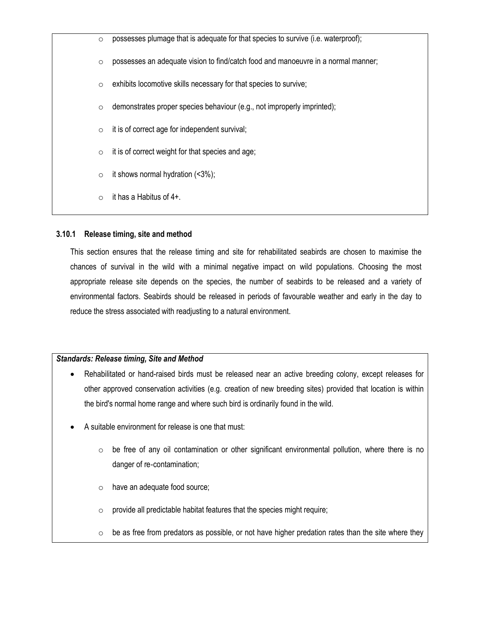$\circ$  possesses plumage that is adequate for that species to survive (i.e. waterproof);  $\circ$  possesses an adequate vision to find/catch food and manoeuvre in a normal manner;  $\circ$  exhibits locomotive skills necessary for that species to survive;  $\circ$  demonstrates proper species behaviour (e.g., not improperly imprinted);  $\circ$  it is of correct age for independent survival;  $\circ$  it is of correct weight for that species and age;  $\circ$  it shows normal hydration (<3%);  $\circ$  it has a Habitus of 4+.

#### **3.10.1 Release timing, site and method**

This section ensures that the release timing and site for rehabilitated seabirds are chosen to maximise the chances of survival in the wild with a minimal negative impact on wild populations. Choosing the most appropriate release site depends on the species, the number of seabirds to be released and a variety of environmental factors. Seabirds should be released in periods of favourable weather and early in the day to reduce the stress associated with readjusting to a natural environment.

#### *Standards: Release timing, Site and Method*

- Rehabilitated or hand-raised birds must be released near an active breeding colony, except releases for other approved conservation activities (e.g. creation of new breeding sites) provided that location is within the bird's normal home range and where such bird is ordinarily found in the wild.
- A suitable environment for release is one that must:
	- $\circ$  be free of any oil contamination or other significant environmental pollution, where there is no danger of re‐contamination;
	- o have an adequate food source;
	- $\circ$  provide all predictable habitat features that the species might require;
	- $\circ$  be as free from predators as possible, or not have higher predation rates than the site where they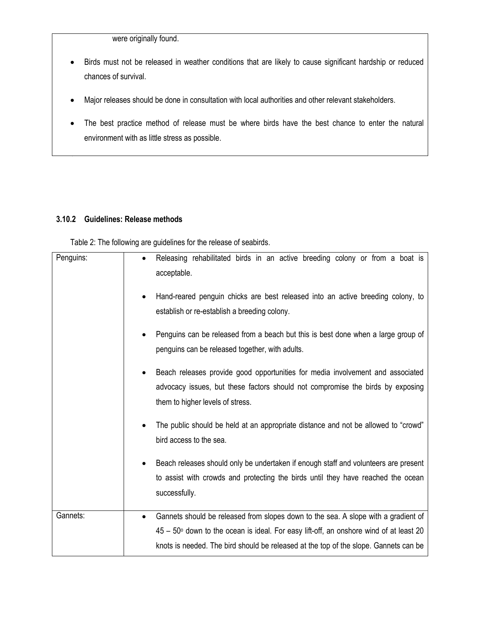were originally found.

- Birds must not be released in weather conditions that are likely to cause significant hardship or reduced chances of survival.
- Major releases should be done in consultation with local authorities and other relevant stakeholders.
- The best practice method of release must be where birds have the best chance to enter the natural environment with as little stress as possible.

#### **3.10.2 Guidelines: Release methods**

Table 2: The following are guidelines for the release of seabirds.

| Penguins: | Releasing rehabilitated birds in an active breeding colony or from a boat is<br>acceptable.                                                                                                                                                                                        |
|-----------|------------------------------------------------------------------------------------------------------------------------------------------------------------------------------------------------------------------------------------------------------------------------------------|
|           | Hand-reared penguin chicks are best released into an active breeding colony, to<br>establish or re-establish a breeding colony.                                                                                                                                                    |
|           | Penguins can be released from a beach but this is best done when a large group of<br>penguins can be released together, with adults.                                                                                                                                               |
|           | Beach releases provide good opportunities for media involvement and associated<br>advocacy issues, but these factors should not compromise the birds by exposing<br>them to higher levels of stress.                                                                               |
|           | The public should be held at an appropriate distance and not be allowed to "crowd"<br>bird access to the sea.                                                                                                                                                                      |
|           | Beach releases should only be undertaken if enough staff and volunteers are present<br>to assist with crowds and protecting the birds until they have reached the ocean<br>successfully.                                                                                           |
| Gannets:  | Gannets should be released from slopes down to the sea. A slope with a gradient of<br>$\bullet$<br>$45 - 50$ down to the ocean is ideal. For easy lift-off, an onshore wind of at least 20<br>knots is needed. The bird should be released at the top of the slope. Gannets can be |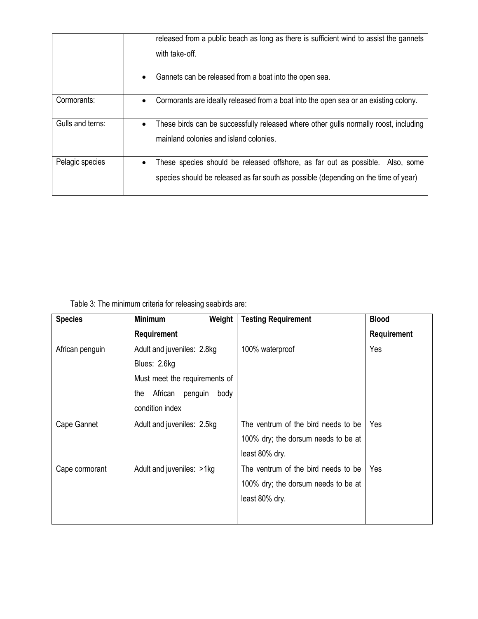|                  | released from a public beach as long as there is sufficient wind to assist the gannets<br>with take-off.                                                                          |  |  |
|------------------|-----------------------------------------------------------------------------------------------------------------------------------------------------------------------------------|--|--|
|                  | Gannets can be released from a boat into the open sea.<br>$\bullet$                                                                                                               |  |  |
| Cormorants:      | Cormorants are ideally released from a boat into the open sea or an existing colony.<br>$\bullet$                                                                                 |  |  |
| Gulls and terns: | These birds can be successfully released where other gulls normally roost, including<br>$\bullet$<br>mainland colonies and island colonies.                                       |  |  |
| Pelagic species  | These species should be released offshore, as far out as possible. Also, some<br>$\bullet$<br>species should be released as far south as possible (depending on the time of year) |  |  |

Table 3: The minimum criteria for releasing seabirds are:

| <b>Species</b>  | <b>Minimum</b><br>Weight          | <b>Testing Requirement</b>          | <b>Blood</b>       |
|-----------------|-----------------------------------|-------------------------------------|--------------------|
|                 | Requirement                       |                                     | <b>Requirement</b> |
| African penguin | Adult and juveniles: 2.8kg        | 100% waterproof                     | Yes                |
|                 | Blues: 2.6kg                      |                                     |                    |
|                 | Must meet the requirements of     |                                     |                    |
|                 | African<br>penguin<br>body<br>the |                                     |                    |
|                 | condition index                   |                                     |                    |
| Cape Gannet     | Adult and juveniles: 2.5kg        | The ventrum of the bird needs to be | Yes                |
|                 |                                   | 100% dry; the dorsum needs to be at |                    |
|                 |                                   | least 80% dry.                      |                    |
| Cape cormorant  | Adult and juveniles: >1kg         | The ventrum of the bird needs to be | Yes                |
|                 |                                   | 100% dry; the dorsum needs to be at |                    |
|                 |                                   | least 80% dry.                      |                    |
|                 |                                   |                                     |                    |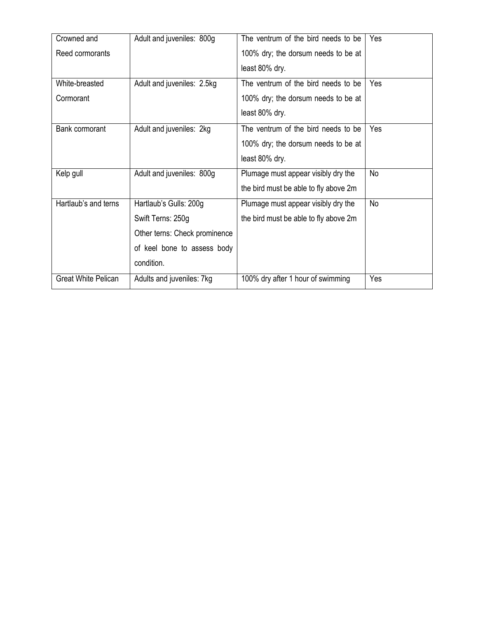| Crowned and                | Adult and juveniles: 800g     | The ventrum of the bird needs to be   | Yes |
|----------------------------|-------------------------------|---------------------------------------|-----|
| Reed cormorants            |                               | 100% dry; the dorsum needs to be at   |     |
|                            |                               | least 80% dry.                        |     |
| White-breasted             | Adult and juveniles: 2.5kg    | The ventrum of the bird needs to be   | Yes |
| Cormorant                  |                               | 100% dry; the dorsum needs to be at   |     |
|                            |                               | least 80% dry.                        |     |
| Bank cormorant             | Adult and juveniles: 2kg      | The ventrum of the bird needs to be   | Yes |
|                            |                               | 100% dry; the dorsum needs to be at   |     |
|                            |                               | least 80% dry.                        |     |
| Kelp gull                  | Adult and juveniles: 800g     | Plumage must appear visibly dry the   | No  |
|                            |                               | the bird must be able to fly above 2m |     |
| Hartlaub's and terns       | Hartlaub's Gulls: 200g        | Plumage must appear visibly dry the   | No  |
|                            | Swift Terns: 250g             | the bird must be able to fly above 2m |     |
|                            | Other terns: Check prominence |                                       |     |
|                            | of keel bone to assess body   |                                       |     |
|                            | condition.                    |                                       |     |
| <b>Great White Pelican</b> | Adults and juveniles: 7kg     | 100% dry after 1 hour of swimming     | Yes |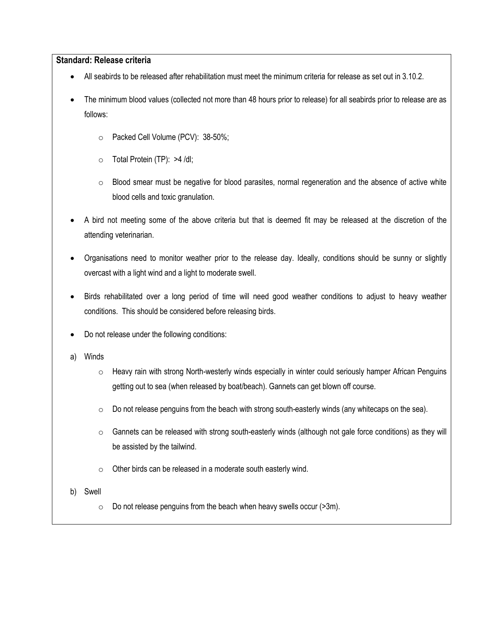#### **Standard: Release criteria**

- All seabirds to be released after rehabilitation must meet the minimum criteria for release as set out in 3.10.2.
- The minimum blood values (collected not more than 48 hours prior to release) for all seabirds prior to release are as follows:
	- o Packed Cell Volume (PCV): 38-50%;
	- o Total Protein (TP): >4 /dl;
	- $\circ$  Blood smear must be negative for blood parasites, normal regeneration and the absence of active white blood cells and toxic granulation.
- A bird not meeting some of the above criteria but that is deemed fit may be released at the discretion of the attending veterinarian.
- Organisations need to monitor weather prior to the release day. Ideally, conditions should be sunny or slightly overcast with a light wind and a light to moderate swell.
- Birds rehabilitated over a long period of time will need good weather conditions to adjust to heavy weather conditions. This should be considered before releasing birds.
- Do not release under the following conditions:
- a) Winds
	- $\circ$  Heavy rain with strong North-westerly winds especially in winter could seriously hamper African Penguins getting out to sea (when released by boat/beach). Gannets can get blown off course.
	- $\circ$  Do not release penguins from the beach with strong south-easterly winds (any whitecaps on the sea).
	- $\circ$  Gannets can be released with strong south-easterly winds (although not gale force conditions) as they will be assisted by the tailwind.
	- o Other birds can be released in a moderate south easterly wind.
- b) Swell
	- $\circ$  Do not release penguins from the beach when heavy swells occur ( $>3m$ ).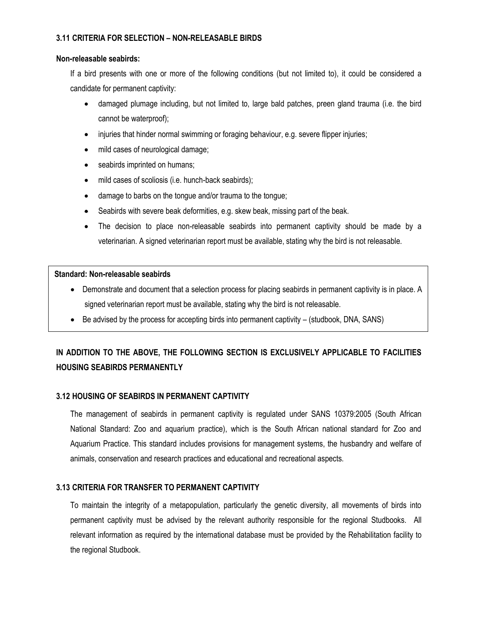#### **3.11 CRITERIA FOR SELECTION – NON-RELEASABLE BIRDS**

#### **Non-releasable seabirds:**

If a bird presents with one or more of the following conditions (but not limited to), it could be considered a candidate for permanent captivity:

- damaged plumage including, but not limited to, large bald patches, preen gland trauma (i.e. the bird cannot be waterproof);
- injuries that hinder normal swimming or foraging behaviour, e.g. severe flipper injuries;
- mild cases of neurological damage;
- seabirds imprinted on humans;
- mild cases of scoliosis (i.e. hunch-back seabirds);
- damage to barbs on the tongue and/or trauma to the tongue;
- Seabirds with severe beak deformities, e.g. skew beak, missing part of the beak.
- The decision to place non-releasable seabirds into permanent captivity should be made by a veterinarian. A signed veterinarian report must be available, stating why the bird is not releasable.

#### **Standard: Non-releasable seabirds**

- Demonstrate and document that a selection process for placing seabirds in permanent captivity is in place. A signed veterinarian report must be available, stating why the bird is not releasable.
- $\bullet$  Be advised by the process for accepting birds into permanent captivity (studbook, DNA, SANS)

## **IN ADDITION TO THE ABOVE, THE FOLLOWING SECTION IS EXCLUSIVELY APPLICABLE TO FACILITIES HOUSING SEABIRDS PERMANENTLY**

#### **3.12 HOUSING OF SEABIRDS IN PERMANENT CAPTIVITY**

The management of seabirds in permanent captivity is regulated under SANS 10379:2005 (South African National Standard: Zoo and aquarium practice), which is the South African national standard for Zoo and Aquarium Practice. This standard includes provisions for management systems, the husbandry and welfare of animals, conservation and research practices and educational and recreational aspects.

#### **3.13 CRITERIA FOR TRANSFER TO PERMANENT CAPTIVITY**

To maintain the integrity of a metapopulation, particularly the genetic diversity, all movements of birds into permanent captivity must be advised by the relevant authority responsible for the regional Studbooks. All relevant information as required by the international database must be provided by the Rehabilitation facility to the regional Studbook.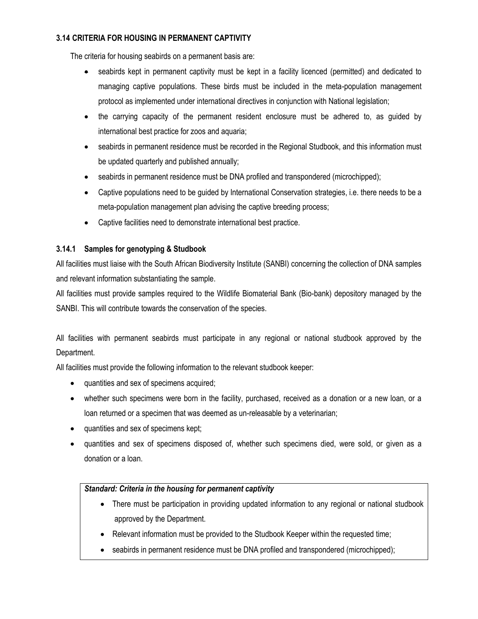#### **3.14 CRITERIA FOR HOUSING IN PERMANENT CAPTIVITY**

The criteria for housing seabirds on a permanent basis are:

- seabirds kept in permanent captivity must be kept in a facility licenced (permitted) and dedicated to managing captive populations. These birds must be included in the meta-population management protocol as implemented under international directives in conjunction with National legislation;
- the carrying capacity of the permanent resident enclosure must be adhered to, as guided by international best practice for zoos and aquaria;
- seabirds in permanent residence must be recorded in the Regional Studbook, and this information must be updated quarterly and published annually;
- seabirds in permanent residence must be DNA profiled and transpondered (microchipped);
- Captive populations need to be guided by International Conservation strategies, i.e. there needs to be a meta-population management plan advising the captive breeding process;
- Captive facilities need to demonstrate international best practice.

## **3.14.1 Samples for genotyping & Studbook**

All facilities must liaise with the South African Biodiversity Institute (SANBI) concerning the collection of DNA samples and relevant information substantiating the sample.

All facilities must provide samples required to the Wildlife Biomaterial Bank (Bio-bank) depository managed by the SANBI. This will contribute towards the conservation of the species.

All facilities with permanent seabirds must participate in any regional or national studbook approved by the Department.

All facilities must provide the following information to the relevant studbook keeper:

- quantities and sex of specimens acquired;
- whether such specimens were born in the facility, purchased, received as a donation or a new loan, or a loan returned or a specimen that was deemed as un-releasable by a veterinarian;
- quantities and sex of specimens kept;
- quantities and sex of specimens disposed of, whether such specimens died, were sold, or given as a donation or a loan.

#### *Standard: Criteria in the housing for permanent captivity*

- There must be participation in providing updated information to any regional or national studbook approved by the Department.
- Relevant information must be provided to the Studbook Keeper within the requested time;
- seabirds in permanent residence must be DNA profiled and transpondered (microchipped);